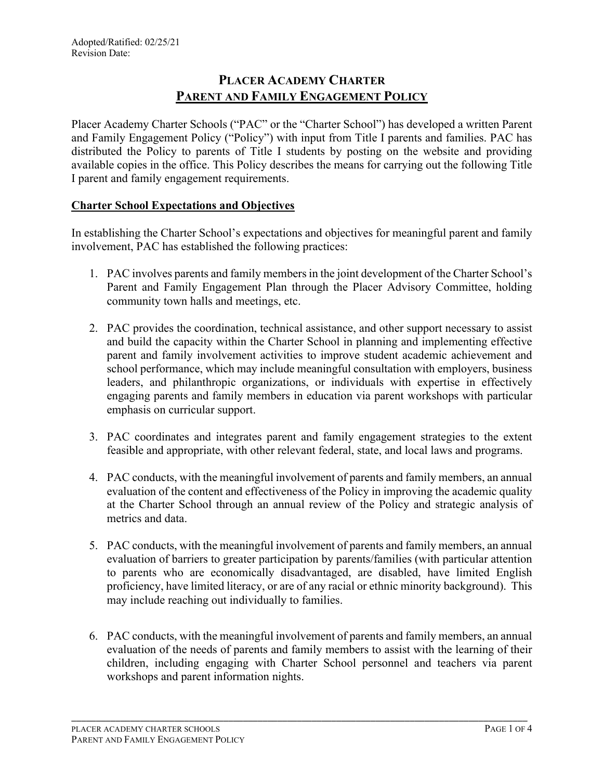# **PLACER ACADEMY CHARTER PARENT AND FAMILY ENGAGEMENT POLICY**

Placer Academy Charter Schools ("PAC" or the "Charter School") has developed a written Parent and Family Engagement Policy ("Policy") with input from Title I parents and families. PAC has distributed the Policy to parents of Title I students by posting on the website and providing available copies in the office. This Policy describes the means for carrying out the following Title I parent and family engagement requirements.

# **Charter School Expectations and Objectives**

In establishing the Charter School's expectations and objectives for meaningful parent and family involvement, PAC has established the following practices:

- 1. PAC involves parents and family members in the joint development of the Charter School's Parent and Family Engagement Plan through the Placer Advisory Committee, holding community town halls and meetings, etc.
- 2. PAC provides the coordination, technical assistance, and other support necessary to assist and build the capacity within the Charter School in planning and implementing effective parent and family involvement activities to improve student academic achievement and school performance, which may include meaningful consultation with employers, business leaders, and philanthropic organizations, or individuals with expertise in effectively engaging parents and family members in education via parent workshops with particular emphasis on curricular support.
- 3. PAC coordinates and integrates parent and family engagement strategies to the extent feasible and appropriate, with other relevant federal, state, and local laws and programs.
- 4. PAC conducts, with the meaningful involvement of parents and family members, an annual evaluation of the content and effectiveness of the Policy in improving the academic quality at the Charter School through an annual review of the Policy and strategic analysis of metrics and data.
- 5. PAC conducts, with the meaningful involvement of parents and family members, an annual evaluation of barriers to greater participation by parents/families (with particular attention to parents who are economically disadvantaged, are disabled, have limited English proficiency, have limited literacy, or are of any racial or ethnic minority background). This may include reaching out individually to families.
- 6. PAC conducts, with the meaningful involvement of parents and family members, an annual evaluation of the needs of parents and family members to assist with the learning of their children, including engaging with Charter School personnel and teachers via parent workshops and parent information nights.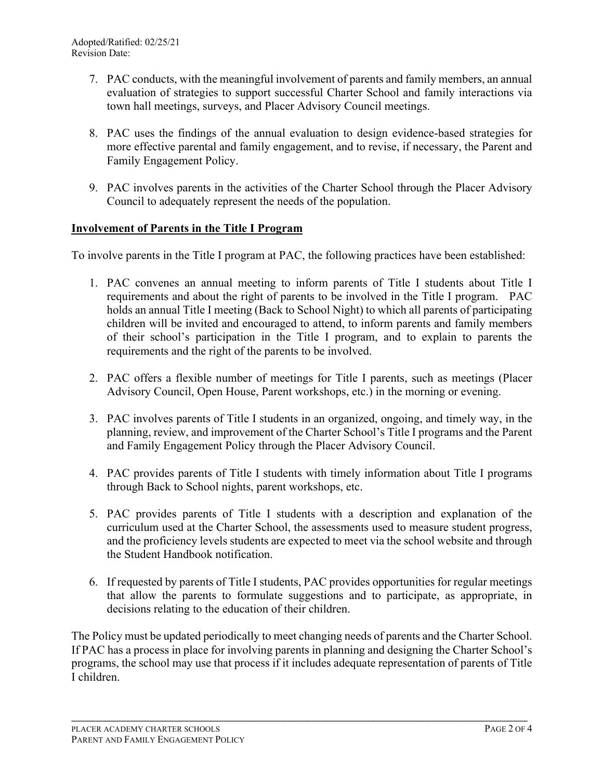- 7. PAC conducts, with the meaningful involvement of parents and family members, an annual evaluation of strategies to support successful Charter School and family interactions via town hall meetings, surveys, and Placer Advisory Council meetings.
- 8. PAC uses the findings of the annual evaluation to design evidence-based strategies for more effective parental and family engagement, and to revise, if necessary, the Parent and Family Engagement Policy.
- 9. PAC involves parents in the activities of the Charter School through the Placer Advisory Council to adequately represent the needs of the population.

### **Involvement of Parents in the Title I Program**

To involve parents in the Title I program at PAC, the following practices have been established:

- 1. PAC convenes an annual meeting to inform parents of Title I students about Title I requirements and about the right of parents to be involved in the Title I program. PAC holds an annual Title I meeting (Back to School Night) to which all parents of participating children will be invited and encouraged to attend, to inform parents and family members of their school's participation in the Title I program, and to explain to parents the requirements and the right of the parents to be involved.
- 2. PAC offers a flexible number of meetings for Title I parents, such as meetings (Placer Advisory Council, Open House, Parent workshops, etc.) in the morning or evening.
- 3. PAC involves parents of Title I students in an organized, ongoing, and timely way, in the planning, review, and improvement of the Charter School's Title I programs and the Parent and Family Engagement Policy through the Placer Advisory Council.
- 4. PAC provides parents of Title I students with timely information about Title I programs through Back to School nights, parent workshops, etc.
- 5. PAC provides parents of Title I students with a description and explanation of the curriculum used at the Charter School, the assessments used to measure student progress, and the proficiency levels students are expected to meet via the school website and through the Student Handbook notification.
- 6. If requested by parents of Title I students, PAC provides opportunities for regular meetings that allow the parents to formulate suggestions and to participate, as appropriate, in decisions relating to the education of their children.

The Policy must be updated periodically to meet changing needs of parents and the Charter School. If PAC has a process in place for involving parents in planning and designing the Charter School's programs, the school may use that process if it includes adequate representation of parents of Title I children.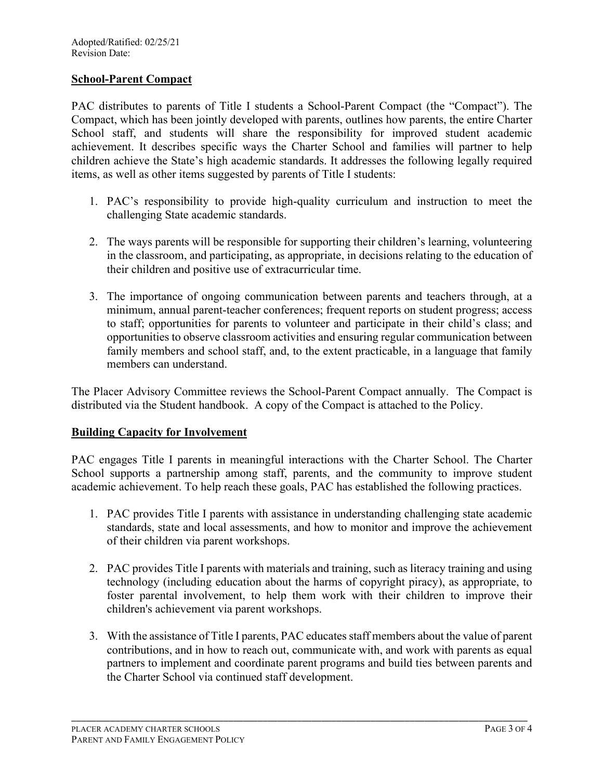### **School-Parent Compact**

PAC distributes to parents of Title I students a School-Parent Compact (the "Compact"). The Compact, which has been jointly developed with parents, outlines how parents, the entire Charter School staff, and students will share the responsibility for improved student academic achievement. It describes specific ways the Charter School and families will partner to help children achieve the State's high academic standards. It addresses the following legally required items, as well as other items suggested by parents of Title I students:

- 1. PAC's responsibility to provide high-quality curriculum and instruction to meet the challenging State academic standards.
- 2. The ways parents will be responsible for supporting their children's learning, volunteering in the classroom, and participating, as appropriate, in decisions relating to the education of their children and positive use of extracurricular time.
- 3. The importance of ongoing communication between parents and teachers through, at a minimum, annual parent-teacher conferences; frequent reports on student progress; access to staff; opportunities for parents to volunteer and participate in their child's class; and opportunities to observe classroom activities and ensuring regular communication between family members and school staff, and, to the extent practicable, in a language that family members can understand.

The Placer Advisory Committee reviews the School-Parent Compact annually. The Compact is distributed via the Student handbook. A copy of the Compact is attached to the Policy.

#### **Building Capacity for Involvement**

PAC engages Title I parents in meaningful interactions with the Charter School. The Charter School supports a partnership among staff, parents, and the community to improve student academic achievement. To help reach these goals, PAC has established the following practices.

- 1. PAC provides Title I parents with assistance in understanding challenging state academic standards, state and local assessments, and how to monitor and improve the achievement of their children via parent workshops.
- 2. PAC provides Title I parents with materials and training, such as literacy training and using technology (including education about the harms of copyright piracy), as appropriate, to foster parental involvement, to help them work with their children to improve their children's achievement via parent workshops.
- 3. With the assistance of Title I parents, PAC educates staff members about the value of parent contributions, and in how to reach out, communicate with, and work with parents as equal partners to implement and coordinate parent programs and build ties between parents and the Charter School via continued staff development.